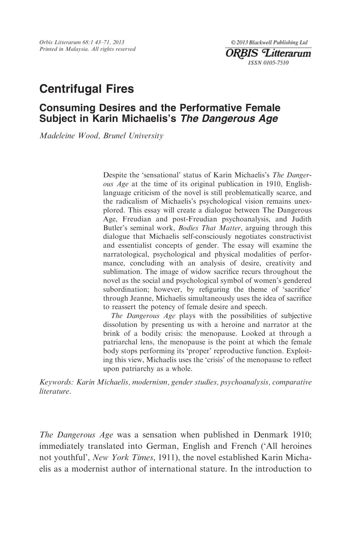Orbis Litterarum 68:1 43–71, 2013 Printed in Malaysia. All rights reserved

© 2013 Blackwell Publishing Ltd **ORBIS** Litterarum **ISSN 0105-7510** 

# Centrifugal Fires

# Consuming Desires and the Performative Female Subject in Karin Michaelis's The Dangerous Age

Madeleine Wood, Brunel University

Despite the 'sensational' status of Karin Michaelis's The Dangerous Age at the time of its original publication in 1910, Englishlanguage criticism of the novel is still problematically scarce, and the radicalism of Michaelis's psychological vision remains unexplored. This essay will create a dialogue between The Dangerous Age, Freudian and post-Freudian psychoanalysis, and Judith Butler's seminal work, Bodies That Matter, arguing through this dialogue that Michaelis self-consciously negotiates constructivist and essentialist concepts of gender. The essay will examine the narratological, psychological and physical modalities of performance, concluding with an analysis of desire, creativity and sublimation. The image of widow sacrifice recurs throughout the novel as the social and psychological symbol of women's gendered subordination; however, by refiguring the theme of 'sacrifice' through Jeanne, Michaelis simultaneously uses the idea of sacrifice to reassert the potency of female desire and speech.

The Dangerous Age plays with the possibilities of subjective dissolution by presenting us with a heroine and narrator at the brink of a bodily crisis: the menopause. Looked at through a patriarchal lens, the menopause is the point at which the female body stops performing its 'proper' reproductive function. Exploiting this view, Michaelis uses the 'crisis' of the menopause to reflect upon patriarchy as a whole.

Keywords: Karin Michaelis, modernism, gender studies, psychoanalysis, comparative literature.

The Dangerous Age was a sensation when published in Denmark 1910; immediately translated into German, English and French ('All heroines not youthful', New York Times, 1911), the novel established Karin Michaelis as a modernist author of international stature. In the introduction to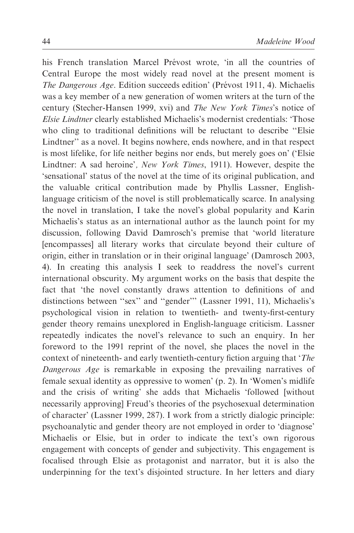his French translation Marcel Prévost wrote, 'in all the countries of Central Europe the most widely read novel at the present moment is The Dangerous Age. Edition succeeds edition' (Prévost 1911, 4). Michaelis was a key member of a new generation of women writers at the turn of the century (Stecher-Hansen 1999, xvi) and The New York Times's notice of Elsie Lindtner clearly established Michaelis's modernist credentials: 'Those who cling to traditional definitions will be reluctant to describe ''Elsie Lindtner'' as a novel. It begins nowhere, ends nowhere, and in that respect is most lifelike, for life neither begins nor ends, but merely goes on' ('Elsie Lindtner: A sad heroine', New York Times, 1911). However, despite the 'sensational' status of the novel at the time of its original publication, and the valuable critical contribution made by Phyllis Lassner, Englishlanguage criticism of the novel is still problematically scarce. In analysing the novel in translation, I take the novel's global popularity and Karin Michaelis's status as an international author as the launch point for my discussion, following David Damrosch's premise that 'world literature [encompasses] all literary works that circulate beyond their culture of origin, either in translation or in their original language' (Damrosch 2003, 4). In creating this analysis I seek to readdress the novel's current international obscurity. My argument works on the basis that despite the fact that 'the novel constantly draws attention to definitions of and distinctions between ''sex'' and ''gender''' (Lassner 1991, 11), Michaelis's psychological vision in relation to twentieth- and twenty-first-century gender theory remains unexplored in English-language criticism. Lassner repeatedly indicates the novel's relevance to such an enquiry. In her foreword to the 1991 reprint of the novel, she places the novel in the context of nineteenth- and early twentieth-century fiction arguing that 'The Dangerous Age is remarkable in exposing the prevailing narratives of female sexual identity as oppressive to women' (p. 2). In 'Women's midlife and the crisis of writing' she adds that Michaelis 'followed [without necessarily approving] Freud's theories of the psychosexual determination of character' (Lassner 1999, 287). I work from a strictly dialogic principle: psychoanalytic and gender theory are not employed in order to 'diagnose' Michaelis or Elsie, but in order to indicate the text's own rigorous engagement with concepts of gender and subjectivity. This engagement is focalised through Elsie as protagonist and narrator, but it is also the underpinning for the text's disjointed structure. In her letters and diary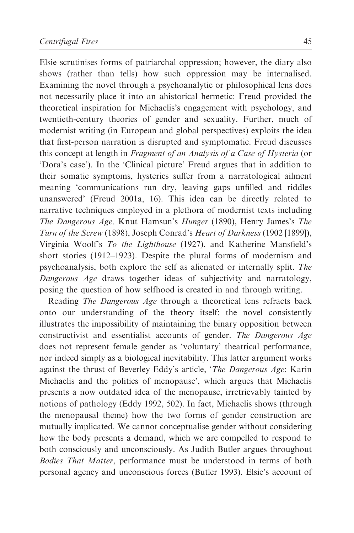Elsie scrutinises forms of patriarchal oppression; however, the diary also shows (rather than tells) how such oppression may be internalised. Examining the novel through a psychoanalytic or philosophical lens does not necessarily place it into an ahistorical hermetic: Freud provided the theoretical inspiration for Michaelis's engagement with psychology, and twentieth-century theories of gender and sexuality. Further, much of modernist writing (in European and global perspectives) exploits the idea that first-person narration is disrupted and symptomatic. Freud discusses this concept at length in Fragment of an Analysis of a Case of Hysteria (or 'Dora's case'). In the 'Clinical picture' Freud argues that in addition to their somatic symptoms, hysterics suffer from a narratological ailment meaning 'communications run dry, leaving gaps unfilled and riddles unanswered' (Freud 2001a, 16). This idea can be directly related to narrative techniques employed in a plethora of modernist texts including The Dangerous Age, Knut Hamsun's Hunger (1890), Henry James's The Turn of the Screw (1898), Joseph Conrad's Heart of Darkness (1902 [1899]), Virginia Woolf's To the Lighthouse (1927), and Katherine Mansfield's short stories (1912–1923). Despite the plural forms of modernism and psychoanalysis, both explore the self as alienated or internally split. The Dangerous Age draws together ideas of subjectivity and narratology, posing the question of how selfhood is created in and through writing.

Reading The Dangerous Age through a theoretical lens refracts back onto our understanding of the theory itself: the novel consistently illustrates the impossibility of maintaining the binary opposition between constructivist and essentialist accounts of gender. The Dangerous Age does not represent female gender as 'voluntary' theatrical performance, nor indeed simply as a biological inevitability. This latter argument works against the thrust of Beverley Eddy's article, 'The Dangerous Age: Karin Michaelis and the politics of menopause', which argues that Michaelis presents a now outdated idea of the menopause, irretrievably tainted by notions of pathology (Eddy 1992, 502). In fact, Michaelis shows (through the menopausal theme) how the two forms of gender construction are mutually implicated. We cannot conceptualise gender without considering how the body presents a demand, which we are compelled to respond to both consciously and unconsciously. As Judith Butler argues throughout Bodies That Matter, performance must be understood in terms of both personal agency and unconscious forces (Butler 1993). Elsie's account of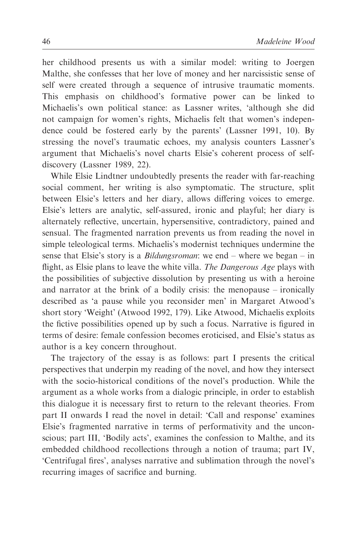her childhood presents us with a similar model: writing to Joergen Malthe, she confesses that her love of money and her narcissistic sense of self were created through a sequence of intrusive traumatic moments. This emphasis on childhood's formative power can be linked to Michaelis's own political stance: as Lassner writes, 'although she did not campaign for women's rights, Michaelis felt that women's independence could be fostered early by the parents' (Lassner 1991, 10). By stressing the novel's traumatic echoes, my analysis counters Lassner's argument that Michaelis's novel charts Elsie's coherent process of selfdiscovery (Lassner 1989, 22).

While Elsie Lindtner undoubtedly presents the reader with far-reaching social comment, her writing is also symptomatic. The structure, split between Elsie's letters and her diary, allows differing voices to emerge. Elsie's letters are analytic, self-assured, ironic and playful; her diary is alternately reflective, uncertain, hypersensitive, contradictory, pained and sensual. The fragmented narration prevents us from reading the novel in simple teleological terms. Michaelis's modernist techniques undermine the sense that Elsie's story is a *Bildungsroman*: we end – where we began – in flight, as Elsie plans to leave the white villa. The Dangerous Age plays with the possibilities of subjective dissolution by presenting us with a heroine and narrator at the brink of a bodily crisis: the menopause – ironically described as 'a pause while you reconsider men' in Margaret Atwood's short story 'Weight' (Atwood 1992, 179). Like Atwood, Michaelis exploits the fictive possibilities opened up by such a focus. Narrative is figured in terms of desire: female confession becomes eroticised, and Elsie's status as author is a key concern throughout.

The trajectory of the essay is as follows: part I presents the critical perspectives that underpin my reading of the novel, and how they intersect with the socio-historical conditions of the novel's production. While the argument as a whole works from a dialogic principle, in order to establish this dialogue it is necessary first to return to the relevant theories. From part II onwards I read the novel in detail: 'Call and response' examines Elsie's fragmented narrative in terms of performativity and the unconscious; part III, 'Bodily acts', examines the confession to Malthe, and its embedded childhood recollections through a notion of trauma; part IV, 'Centrifugal fires', analyses narrative and sublimation through the novel's recurring images of sacrifice and burning.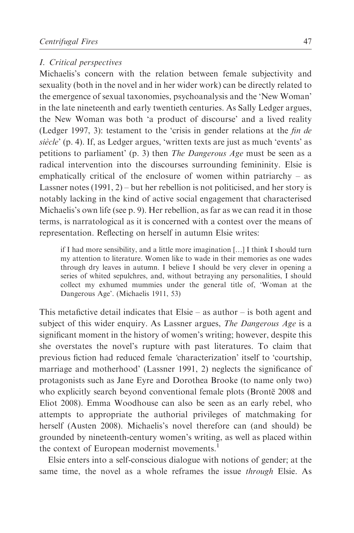#### I. Critical perspectives

Michaelis's concern with the relation between female subjectivity and sexuality (both in the novel and in her wider work) can be directly related to the emergence of sexual taxonomies, psychoanalysis and the 'New Woman' in the late nineteenth and early twentieth centuries. As Sally Ledger argues, the New Woman was both 'a product of discourse' and a lived reality (Ledger 1997, 3): testament to the 'crisis in gender relations at the fin de siècle' (p. 4). If, as Ledger argues, 'written texts are just as much 'events' as petitions to parliament' (p. 3) then The Dangerous Age must be seen as a radical intervention into the discourses surrounding femininity. Elsie is emphatically critical of the enclosure of women within patriarchy – as Lassner notes (1991, 2) – but her rebellion is not politicised, and her story is notably lacking in the kind of active social engagement that characterised Michaelis's own life (see p. 9). Her rebellion, as far as we can read it in those terms, is narratological as it is concerned with a contest over the means of representation. Reflecting on herself in autumn Elsie writes:

if I had more sensibility, and a little more imagination […] I think I should turn my attention to literature. Women like to wade in their memories as one wades through dry leaves in autumn. I believe I should be very clever in opening a series of whited sepulchres, and, without betraying any personalities, I should collect my exhumed mummies under the general title of, 'Woman at the Dangerous Age'. (Michaelis 1911, 53)

This metafictive detail indicates that Elsie – as author – is both agent and subject of this wider enquiry. As Lassner argues, *The Dangerous Age* is a significant moment in the history of women's writing; however, despite this she overstates the novel's rupture with past literatures. To claim that previous fiction had reduced female 'characterization' itself to 'courtship, marriage and motherhood' (Lassner 1991, 2) neglects the significance of protagonists such as Jane Eyre and Dorothea Brooke (to name only two) who explicitly search beyond conventional female plots (Brontë 2008 and Eliot 2008). Emma Woodhouse can also be seen as an early rebel, who attempts to appropriate the authorial privileges of matchmaking for herself (Austen 2008). Michaelis's novel therefore can (and should) be grounded by nineteenth-century women's writing, as well as placed within the context of European modernist movements.<sup>1</sup>

Elsie enters into a self-conscious dialogue with notions of gender; at the same time, the novel as a whole reframes the issue through Elsie. As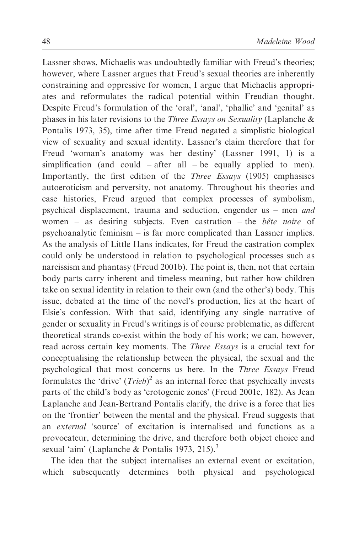Lassner shows, Michaelis was undoubtedly familiar with Freud's theories; however, where Lassner argues that Freud's sexual theories are inherently constraining and oppressive for women, I argue that Michaelis appropriates and reformulates the radical potential within Freudian thought. Despite Freud's formulation of the 'oral', 'anal', 'phallic' and 'genital' as phases in his later revisions to the Three Essays on Sexuality (Laplanche & Pontalis 1973, 35), time after time Freud negated a simplistic biological view of sexuality and sexual identity. Lassner's claim therefore that for Freud 'woman's anatomy was her destiny' (Lassner 1991, 1) is a simplification (and could – after all – be equally applied to men). Importantly, the first edition of the Three Essays (1905) emphasises autoeroticism and perversity, not anatomy. Throughout his theories and case histories, Freud argued that complex processes of symbolism, psychical displacement, trauma and seduction, engender us – men and women – as desiring subjects. Even castration – the *bête noire* of psychoanalytic feminism – is far more complicated than Lassner implies. As the analysis of Little Hans indicates, for Freud the castration complex could only be understood in relation to psychological processes such as narcissism and phantasy (Freud 2001b). The point is, then, not that certain body parts carry inherent and timeless meaning, but rather how children take on sexual identity in relation to their own (and the other's) body. This issue, debated at the time of the novel's production, lies at the heart of Elsie's confession. With that said, identifying any single narrative of gender or sexuality in Freud's writings is of course problematic, as different theoretical strands co-exist within the body of his work; we can, however, read across certain key moments. The Three Essays is a crucial text for conceptualising the relationship between the physical, the sexual and the psychological that most concerns us here. In the Three Essays Freud formulates the 'drive'  $(Trieb)^2$  as an internal force that psychically invests parts of the child's body as 'erotogenic zones' (Freud 2001e, 182). As Jean Laplanche and Jean-Bertrand Pontalis clarify, the drive is a force that lies on the 'frontier' between the mental and the physical. Freud suggests that an external 'source' of excitation is internalised and functions as a provocateur, determining the drive, and therefore both object choice and sexual 'aim' (Laplanche & Pontalis 1973, 215).<sup>3</sup>

The idea that the subject internalises an external event or excitation, which subsequently determines both physical and psychological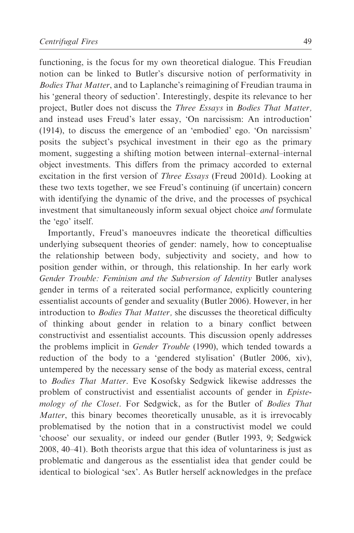functioning, is the focus for my own theoretical dialogue. This Freudian notion can be linked to Butler's discursive notion of performativity in Bodies That Matter, and to Laplanche's reimagining of Freudian trauma in his 'general theory of seduction'. Interestingly, despite its relevance to her project, Butler does not discuss the Three Essays in Bodies That Matter, and instead uses Freud's later essay, 'On narcissism: An introduction' (1914), to discuss the emergence of an 'embodied' ego. 'On narcissism' posits the subject's psychical investment in their ego as the primary moment, suggesting a shifting motion between internal–external–internal object investments. This differs from the primacy accorded to external excitation in the first version of Three Essays (Freud 2001d). Looking at these two texts together, we see Freud's continuing (if uncertain) concern with identifying the dynamic of the drive, and the processes of psychical investment that simultaneously inform sexual object choice and formulate the 'ego' itself.

Importantly, Freud's manoeuvres indicate the theoretical difficulties underlying subsequent theories of gender: namely, how to conceptualise the relationship between body, subjectivity and society, and how to position gender within, or through, this relationship. In her early work Gender Trouble: Feminism and the Subversion of Identity Butler analyses gender in terms of a reiterated social performance, explicitly countering essentialist accounts of gender and sexuality (Butler 2006). However, in her introduction to *Bodies That Matter*, she discusses the theoretical difficulty of thinking about gender in relation to a binary conflict between constructivist and essentialist accounts. This discussion openly addresses the problems implicit in Gender Trouble (1990), which tended towards a reduction of the body to a 'gendered stylisation' (Butler 2006, xiv), untempered by the necessary sense of the body as material excess, central to Bodies That Matter. Eve Kosofsky Sedgwick likewise addresses the problem of constructivist and essentialist accounts of gender in Epistemology of the Closet. For Sedgwick, as for the Butler of Bodies That Matter, this binary becomes theoretically unusable, as it is irrevocably problematised by the notion that in a constructivist model we could 'choose' our sexuality, or indeed our gender (Butler 1993, 9; Sedgwick 2008, 40–41). Both theorists argue that this idea of voluntariness is just as problematic and dangerous as the essentialist idea that gender could be identical to biological 'sex'. As Butler herself acknowledges in the preface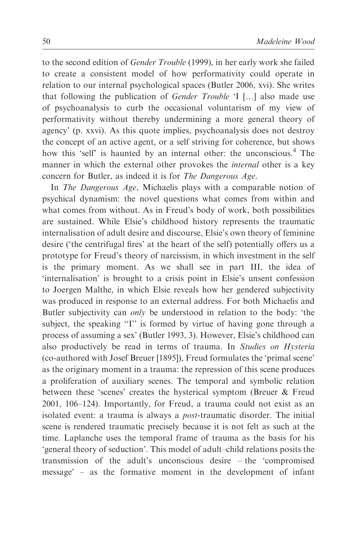to the second edition of Gender Trouble (1999), in her early work she failed to create a consistent model of how performativity could operate in relation to our internal psychological spaces (Butler 2006, xvi). She writes that following the publication of Gender Trouble 'I […] also made use of psychoanalysis to curb the occasional voluntarism of my view of performativity without thereby undermining a more general theory of agency' (p. xxvi). As this quote implies, psychoanalysis does not destroy the concept of an active agent, or a self striving for coherence, but shows how this 'self' is haunted by an internal other: the unconscious.<sup>4</sup> The manner in which the external other provokes the internal other is a key concern for Butler, as indeed it is for The Dangerous Age.

In The Dangerous Age, Michaelis plays with a comparable notion of psychical dynamism: the novel questions what comes from within and what comes from without. As in Freud's body of work, both possibilities are sustained. While Elsie's childhood history represents the traumatic internalisation of adult desire and discourse, Elsie's own theory of feminine desire ('the centrifugal fires' at the heart of the self) potentially offers us a prototype for Freud's theory of narcissism, in which investment in the self is the primary moment. As we shall see in part III, the idea of 'internalisation' is brought to a crisis point in Elsie's unsent confession to Joergen Malthe, in which Elsie reveals how her gendered subjectivity was produced in response to an external address. For both Michaelis and Butler subjectivity can only be understood in relation to the body: 'the subject, the speaking "I" is formed by virtue of having gone through a process of assuming a sex' (Butler 1993, 3). However, Elsie's childhood can also productively be read in terms of trauma. In Studies on Hysteria (co-authored with Josef Breuer [1895]), Freud formulates the 'primal scene' as the originary moment in a trauma: the repression of this scene produces a proliferation of auxiliary scenes. The temporal and symbolic relation between these 'scenes' creates the hysterical symptom (Breuer & Freud 2001, 106–124). Importantly, for Freud, a trauma could not exist as an isolated event: a trauma is always a post-traumatic disorder. The initial scene is rendered traumatic precisely because it is not felt as such at the time. Laplanche uses the temporal frame of trauma as the basis for his 'general theory of seduction'. This model of adult–child relations posits the transmission of the adult's unconscious desire – the 'compromised message' – as the formative moment in the development of infant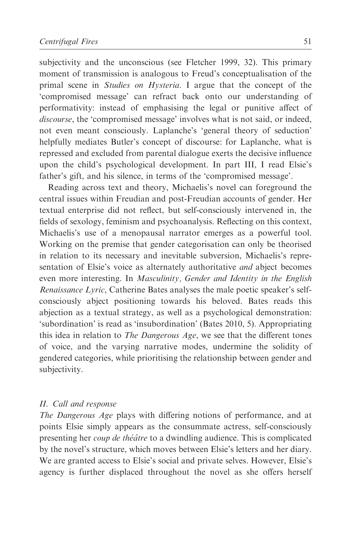subjectivity and the unconscious (see Fletcher 1999, 32). This primary moment of transmission is analogous to Freud's conceptualisation of the primal scene in Studies on Hysteria. I argue that the concept of the 'compromised message' can refract back onto our understanding of performativity: instead of emphasising the legal or punitive affect of discourse, the 'compromised message' involves what is not said, or indeed, not even meant consciously. Laplanche's 'general theory of seduction' helpfully mediates Butler's concept of discourse: for Laplanche, what is repressed and excluded from parental dialogue exerts the decisive influence upon the child's psychological development. In part III, I read Elsie's father's gift, and his silence, in terms of the 'compromised message'.

Reading across text and theory, Michaelis's novel can foreground the central issues within Freudian and post-Freudian accounts of gender. Her textual enterprise did not reflect, but self-consciously intervened in, the fields of sexology, feminism and psychoanalysis. Reflecting on this context, Michaelis's use of a menopausal narrator emerges as a powerful tool. Working on the premise that gender categorisation can only be theorised in relation to its necessary and inevitable subversion, Michaelis's representation of Elsie's voice as alternately authoritative *and* abject becomes even more interesting. In Masculinity, Gender and Identity in the English Renaissance Lyric, Catherine Bates analyses the male poetic speaker's selfconsciously abject positioning towards his beloved. Bates reads this abjection as a textual strategy, as well as a psychological demonstration: 'subordination' is read as 'insubordination' (Bates 2010, 5). Appropriating this idea in relation to The Dangerous Age, we see that the different tones of voice, and the varying narrative modes, undermine the solidity of gendered categories, while prioritising the relationship between gender and subjectivity.

## II. Call and response

The Dangerous Age plays with differing notions of performance, and at points Elsie simply appears as the consummate actress, self-consciously presenting her *coup de théâtre* to a dwindling audience. This is complicated by the novel's structure, which moves between Elsie's letters and her diary. We are granted access to Elsie's social and private selves. However, Elsie's agency is further displaced throughout the novel as she offers herself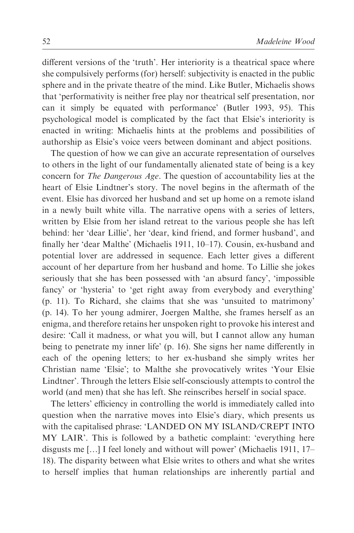different versions of the 'truth'. Her interiority is a theatrical space where she compulsively performs (for) herself: subjectivity is enacted in the public sphere and in the private theatre of the mind. Like Butler, Michaelis shows that 'performativity is neither free play nor theatrical self presentation, nor can it simply be equated with performance' (Butler 1993, 95). This psychological model is complicated by the fact that Elsie's interiority is enacted in writing: Michaelis hints at the problems and possibilities of authorship as Elsie's voice veers between dominant and abject positions.

The question of how we can give an accurate representation of ourselves to others in the light of our fundamentally alienated state of being is a key concern for The Dangerous Age. The question of accountability lies at the heart of Elsie Lindtner's story. The novel begins in the aftermath of the event. Elsie has divorced her husband and set up home on a remote island in a newly built white villa. The narrative opens with a series of letters, written by Elsie from her island retreat to the various people she has left behind: her 'dear Lillie', her 'dear, kind friend, and former husband', and finally her 'dear Malthe' (Michaelis 1911, 10–17). Cousin, ex-husband and potential lover are addressed in sequence. Each letter gives a different account of her departure from her husband and home. To Lillie she jokes seriously that she has been possessed with 'an absurd fancy', 'impossible fancy' or 'hysteria' to 'get right away from everybody and everything' (p. 11). To Richard, she claims that she was 'unsuited to matrimony' (p. 14). To her young admirer, Joergen Malthe, she frames herself as an enigma, and therefore retains her unspoken right to provoke his interest and desire: 'Call it madness, or what you will, but I cannot allow any human being to penetrate my inner life' (p. 16). She signs her name differently in each of the opening letters; to her ex-husband she simply writes her Christian name 'Elsie'; to Malthe she provocatively writes 'Your Elsie Lindtner'. Through the letters Elsie self-consciously attempts to control the world (and men) that she has left. She reinscribes herself in social space.

The letters' efficiency in controlling the world is immediately called into question when the narrative moves into Elsie's diary, which presents us with the capitalised phrase: 'LANDED ON MY ISLAND⁄CREPT INTO MY LAIR'. This is followed by a bathetic complaint: 'everything here disgusts me […] I feel lonely and without will power' (Michaelis 1911, 17– 18). The disparity between what Elsie writes to others and what she writes to herself implies that human relationships are inherently partial and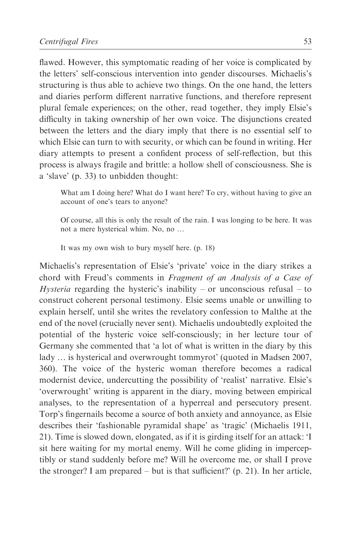flawed. However, this symptomatic reading of her voice is complicated by the letters' self-conscious intervention into gender discourses. Michaelis's structuring is thus able to achieve two things. On the one hand, the letters and diaries perform different narrative functions, and therefore represent plural female experiences; on the other, read together, they imply Elsie's difficulty in taking ownership of her own voice. The disjunctions created between the letters and the diary imply that there is no essential self to which Elsie can turn to with security, or which can be found in writing. Her diary attempts to present a confident process of self-reflection, but this process is always fragile and brittle: a hollow shell of consciousness. She is a 'slave' (p. 33) to unbidden thought:

What am I doing here? What do I want here? To cry, without having to give an account of one's tears to anyone?

Of course, all this is only the result of the rain. I was longing to be here. It was not a mere hysterical whim. No, no …

It was my own wish to bury myself here. (p. 18)

Michaelis's representation of Elsie's 'private' voice in the diary strikes a chord with Freud's comments in Fragment of an Analysis of a Case of *Hysteria* regarding the hysteric's inability – or unconscious refusal – to construct coherent personal testimony. Elsie seems unable or unwilling to explain herself, until she writes the revelatory confession to Malthe at the end of the novel (crucially never sent). Michaelis undoubtedly exploited the potential of the hysteric voice self-consciously; in her lecture tour of Germany she commented that 'a lot of what is written in the diary by this lady … is hysterical and overwrought tommyrot' (quoted in Madsen 2007, 360). The voice of the hysteric woman therefore becomes a radical modernist device, undercutting the possibility of 'realist' narrative. Elsie's 'overwrought' writing is apparent in the diary, moving between empirical analyses, to the representation of a hyperreal and persecutory present. Torp's fingernails become a source of both anxiety and annoyance, as Elsie describes their 'fashionable pyramidal shape' as 'tragic' (Michaelis 1911, 21). Time is slowed down, elongated, as if it is girding itself for an attack: 'I sit here waiting for my mortal enemy. Will he come gliding in imperceptibly or stand suddenly before me? Will he overcome me, or shall I prove the stronger? I am prepared – but is that sufficient?' (p. 21). In her article,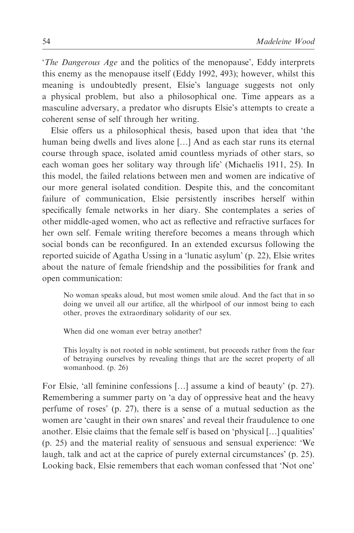'The Dangerous Age and the politics of the menopause', Eddy interprets this enemy as the menopause itself (Eddy 1992, 493); however, whilst this meaning is undoubtedly present, Elsie's language suggests not only a physical problem, but also a philosophical one. Time appears as a masculine adversary, a predator who disrupts Elsie's attempts to create a coherent sense of self through her writing.

Elsie offers us a philosophical thesis, based upon that idea that 'the human being dwells and lives alone […] And as each star runs its eternal course through space, isolated amid countless myriads of other stars, so each woman goes her solitary way through life' (Michaelis 1911, 25). In this model, the failed relations between men and women are indicative of our more general isolated condition. Despite this, and the concomitant failure of communication, Elsie persistently inscribes herself within specifically female networks in her diary. She contemplates a series of other middle-aged women, who act as reflective and refractive surfaces for her own self. Female writing therefore becomes a means through which social bonds can be reconfigured. In an extended excursus following the reported suicide of Agatha Ussing in a 'lunatic asylum' (p. 22), Elsie writes about the nature of female friendship and the possibilities for frank and open communication:

No woman speaks aloud, but most women smile aloud. And the fact that in so doing we unveil all our artifice, all the whirlpool of our inmost being to each other, proves the extraordinary solidarity of our sex.

When did one woman ever betray another?

This loyalty is not rooted in noble sentiment, but proceeds rather from the fear of betraying ourselves by revealing things that are the secret property of all womanhood. (p. 26)

For Elsie, 'all feminine confessions […] assume a kind of beauty' (p. 27). Remembering a summer party on 'a day of oppressive heat and the heavy perfume of roses' (p. 27), there is a sense of a mutual seduction as the women are 'caught in their own snares' and reveal their fraudulence to one another. Elsie claims that the female self is based on 'physical […] qualities' (p. 25) and the material reality of sensuous and sensual experience: 'We laugh, talk and act at the caprice of purely external circumstances' (p. 25). Looking back, Elsie remembers that each woman confessed that 'Not one'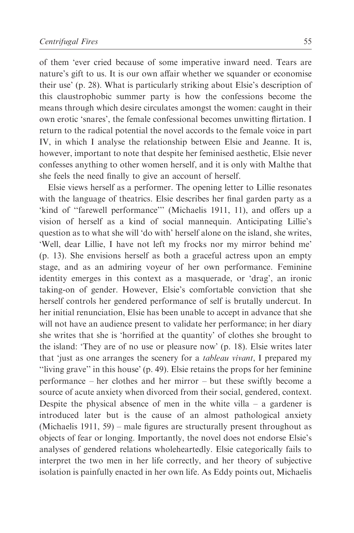of them 'ever cried because of some imperative inward need. Tears are nature's gift to us. It is our own affair whether we squander or economise their use' (p. 28). What is particularly striking about Elsie's description of this claustrophobic summer party is how the confessions become the means through which desire circulates amongst the women: caught in their own erotic 'snares', the female confessional becomes unwitting flirtation. I return to the radical potential the novel accords to the female voice in part IV, in which I analyse the relationship between Elsie and Jeanne. It is, however, important to note that despite her feminised aesthetic, Elsie never confesses anything to other women herself, and it is only with Malthe that she feels the need finally to give an account of herself.

Elsie views herself as a performer. The opening letter to Lillie resonates with the language of theatrics. Elsie describes her final garden party as a 'kind of ''farewell performance''' (Michaelis 1911, 11), and offers up a vision of herself as a kind of social mannequin. Anticipating Lillie's question as to what she will 'do with' herself alone on the island, she writes, 'Well, dear Lillie, I have not left my frocks nor my mirror behind me' (p. 13). She envisions herself as both a graceful actress upon an empty stage, and as an admiring voyeur of her own performance. Feminine identity emerges in this context as a masquerade, or 'drag', an ironic taking-on of gender. However, Elsie's comfortable conviction that she herself controls her gendered performance of self is brutally undercut. In her initial renunciation, Elsie has been unable to accept in advance that she will not have an audience present to validate her performance; in her diary she writes that she is 'horrified at the quantity' of clothes she brought to the island: 'They are of no use or pleasure now' (p. 18). Elsie writes later that 'just as one arranges the scenery for a tableau vivant, I prepared my ''living grave'' in this house' (p. 49). Elsie retains the props for her feminine performance – her clothes and her mirror – but these swiftly become a source of acute anxiety when divorced from their social, gendered, context. Despite the physical absence of men in the white villa – a gardener is introduced later but is the cause of an almost pathological anxiety (Michaelis 1911, 59) – male figures are structurally present throughout as objects of fear or longing. Importantly, the novel does not endorse Elsie's analyses of gendered relations wholeheartedly. Elsie categorically fails to interpret the two men in her life correctly, and her theory of subjective isolation is painfully enacted in her own life. As Eddy points out, Michaelis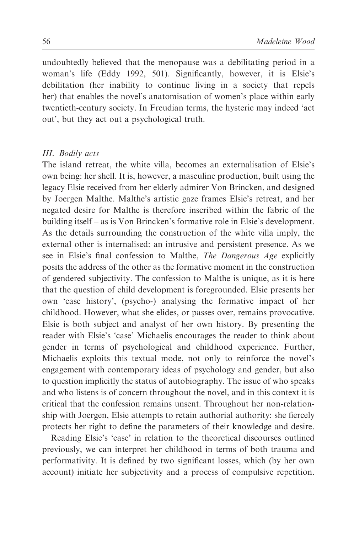undoubtedly believed that the menopause was a debilitating period in a woman's life (Eddy 1992, 501). Significantly, however, it is Elsie's debilitation (her inability to continue living in a society that repels her) that enables the novel's anatomisation of women's place within early twentieth-century society. In Freudian terms, the hysteric may indeed 'act out', but they act out a psychological truth.

### III. Bodily acts

The island retreat, the white villa, becomes an externalisation of Elsie's own being: her shell. It is, however, a masculine production, built using the legacy Elsie received from her elderly admirer Von Brincken, and designed by Joergen Malthe. Malthe's artistic gaze frames Elsie's retreat, and her negated desire for Malthe is therefore inscribed within the fabric of the building itself – as is Von Brincken's formative role in Elsie's development. As the details surrounding the construction of the white villa imply, the external other is internalised: an intrusive and persistent presence. As we see in Elsie's final confession to Malthe, The Dangerous Age explicitly posits the address of the other as the formative moment in the construction of gendered subjectivity. The confession to Malthe is unique, as it is here that the question of child development is foregrounded. Elsie presents her own 'case history', (psycho-) analysing the formative impact of her childhood. However, what she elides, or passes over, remains provocative. Elsie is both subject and analyst of her own history. By presenting the reader with Elsie's 'case' Michaelis encourages the reader to think about gender in terms of psychological and childhood experience. Further, Michaelis exploits this textual mode, not only to reinforce the novel's engagement with contemporary ideas of psychology and gender, but also to question implicitly the status of autobiography. The issue of who speaks and who listens is of concern throughout the novel, and in this context it is critical that the confession remains unsent. Throughout her non-relationship with Joergen, Elsie attempts to retain authorial authority: she fiercely protects her right to define the parameters of their knowledge and desire.

Reading Elsie's 'case' in relation to the theoretical discourses outlined previously, we can interpret her childhood in terms of both trauma and performativity. It is defined by two significant losses, which (by her own account) initiate her subjectivity and a process of compulsive repetition.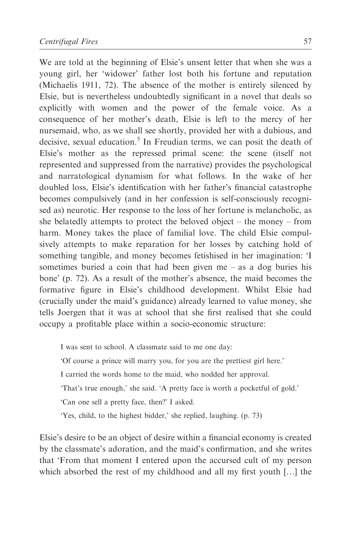We are told at the beginning of Elsie's unsent letter that when she was a young girl, her 'widower' father lost both his fortune and reputation (Michaelis 1911, 72). The absence of the mother is entirely silenced by Elsie, but is nevertheless undoubtedly significant in a novel that deals so explicitly with women and the power of the female voice. As a consequence of her mother's death, Elsie is left to the mercy of her nursemaid, who, as we shall see shortly, provided her with a dubious, and decisive, sexual education. $<sup>5</sup>$  In Freudian terms, we can posit the death of</sup> Elsie's mother as the repressed primal scene: the scene (itself not represented and suppressed from the narrative) provides the psychological and narratological dynamism for what follows. In the wake of her doubled loss, Elsie's identification with her father's financial catastrophe becomes compulsively (and in her confession is self-consciously recognised as) neurotic. Her response to the loss of her fortune is melancholic, as she belatedly attempts to protect the beloved object – the money – from harm. Money takes the place of familial love. The child Elsie compulsively attempts to make reparation for her losses by catching hold of something tangible, and money becomes fetishised in her imagination: 'I sometimes buried a coin that had been given me – as a dog buries his bone' (p. 72). As a result of the mother's absence, the maid becomes the formative figure in Elsie's childhood development. Whilst Elsie had (crucially under the maid's guidance) already learned to value money, she tells Joergen that it was at school that she first realised that she could occupy a profitable place within a socio-economic structure:

I was sent to school. A classmate said to me one day: 'Of course a prince will marry you, for you are the prettiest girl here.' I carried the words home to the maid, who nodded her approval. 'That's true enough,' she said. 'A pretty face is worth a pocketful of gold.' 'Can one sell a pretty face, then?' I asked. 'Yes, child, to the highest bidder,' she replied, laughing. (p. 73)

Elsie's desire to be an object of desire within a financial economy is created by the classmate's adoration, and the maid's confirmation, and she writes that 'From that moment I entered upon the accursed cult of my person which absorbed the rest of my childhood and all my first youth […] the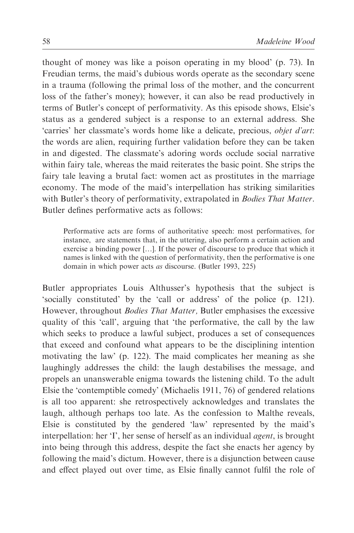thought of money was like a poison operating in my blood' (p. 73). In Freudian terms, the maid's dubious words operate as the secondary scene in a trauma (following the primal loss of the mother, and the concurrent loss of the father's money); however, it can also be read productively in terms of Butler's concept of performativity. As this episode shows, Elsie's status as a gendered subject is a response to an external address. She 'carries' her classmate's words home like a delicate, precious, objet d'art: the words are alien, requiring further validation before they can be taken in and digested. The classmate's adoring words occlude social narrative within fairy tale, whereas the maid reiterates the basic point. She strips the fairy tale leaving a brutal fact: women act as prostitutes in the marriage economy. The mode of the maid's interpellation has striking similarities with Butler's theory of performativity, extrapolated in *Bodies That Matter*. Butler defines performative acts as follows:

Performative acts are forms of authoritative speech: most performatives, for instance, are statements that, in the uttering, also perform a certain action and exercise a binding power […]. If the power of discourse to produce that which it names is linked with the question of performativity, then the performative is one domain in which power acts as discourse. (Butler 1993, 225)

Butler appropriates Louis Althusser's hypothesis that the subject is 'socially constituted' by the 'call or address' of the police (p. 121). However, throughout *Bodies That Matter*, Butler emphasises the excessive quality of this 'call', arguing that 'the performative, the call by the law which seeks to produce a lawful subject, produces a set of consequences that exceed and confound what appears to be the disciplining intention motivating the law' (p. 122). The maid complicates her meaning as she laughingly addresses the child: the laugh destabilises the message, and propels an unanswerable enigma towards the listening child. To the adult Elsie the 'contemptible comedy' (Michaelis 1911, 76) of gendered relations is all too apparent: she retrospectively acknowledges and translates the laugh, although perhaps too late. As the confession to Malthe reveals, Elsie is constituted by the gendered 'law' represented by the maid's interpellation: her 'I', her sense of herself as an individual agent, is brought into being through this address, despite the fact she enacts her agency by following the maid's dictum. However, there is a disjunction between cause and effect played out over time, as Elsie finally cannot fulfil the role of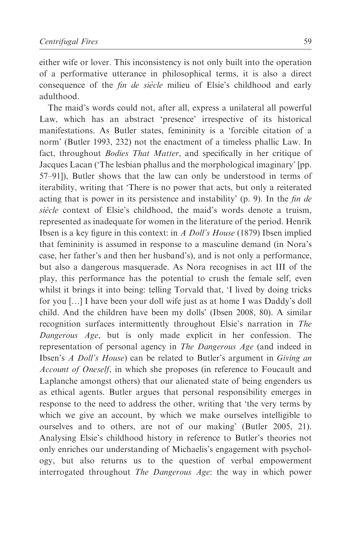either wife or lover. This inconsistency is not only built into the operation of a performative utterance in philosophical terms, it is also a direct consequence of the *fin de siècle* milieu of Elsie's childhood and early adulthood.

The maid's words could not, after all, express a unilateral all powerful Law, which has an abstract 'presence' irrespective of its historical manifestations. As Butler states, femininity is a 'forcible citation of a norm' (Butler 1993, 232) not the enactment of a timeless phallic Law. In fact, throughout Bodies That Matter, and specifically in her critique of Jacques Lacan ('The lesbian phallus and the morphological imaginary' [pp. 57–91]), Butler shows that the law can only be understood in terms of iterability, writing that 'There is no power that acts, but only a reiterated acting that is power in its persistence and instability' (p. 9). In the fin de siècle context of Elsie's childhood, the maid's words denote a truism, represented as inadequate for women in the literature of the period. Henrik Ibsen is a key figure in this context: in A Doll's House (1879) Ibsen implied that femininity is assumed in response to a masculine demand (in Nora's case, her father's and then her husband's), and is not only a performance, but also a dangerous masquerade. As Nora recognises in act III of the play, this performance has the potential to crush the female self, even whilst it brings it into being: telling Torvald that, 'I lived by doing tricks for you […] I have been your doll wife just as at home I was Daddy's doll child. And the children have been my dolls' (Ibsen 2008, 80). A similar recognition surfaces intermittently throughout Elsie's narration in The Dangerous Age, but is only made explicit in her confession. The representation of personal agency in The Dangerous Age (and indeed in Ibsen's A Doll's House) can be related to Butler's argument in Giving an Account of Oneself, in which she proposes (in reference to Foucault and Laplanche amongst others) that our alienated state of being engenders us as ethical agents. Butler argues that personal responsibility emerges in response to the need to address the other, writing that 'the very terms by which we give an account, by which we make ourselves intelligible to ourselves and to others, are not of our making' (Butler 2005, 21). Analysing Elsie's childhood history in reference to Butler's theories not only enriches our understanding of Michaelis's engagement with psychology, but also returns us to the question of verbal empowerment interrogated throughout The Dangerous Age: the way in which power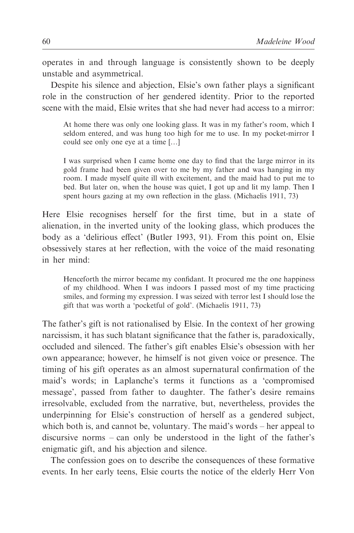operates in and through language is consistently shown to be deeply unstable and asymmetrical.

Despite his silence and abjection, Elsie's own father plays a significant role in the construction of her gendered identity. Prior to the reported scene with the maid, Elsie writes that she had never had access to a mirror:

At home there was only one looking glass. It was in my father's room, which I seldom entered, and was hung too high for me to use. In my pocket-mirror I could see only one eye at a time […]

I was surprised when I came home one day to find that the large mirror in its gold frame had been given over to me by my father and was hanging in my room. I made myself quite ill with excitement, and the maid had to put me to bed. But later on, when the house was quiet, I got up and lit my lamp. Then I spent hours gazing at my own reflection in the glass. (Michaelis 1911, 73)

Here Elsie recognises herself for the first time, but in a state of alienation, in the inverted unity of the looking glass, which produces the body as a 'delirious effect' (Butler 1993, 91). From this point on, Elsie obsessively stares at her reflection, with the voice of the maid resonating in her mind:

Henceforth the mirror became my confidant. It procured me the one happiness of my childhood. When I was indoors I passed most of my time practicing smiles, and forming my expression. I was seized with terror lest I should lose the gift that was worth a 'pocketful of gold'. (Michaelis 1911, 73)

The father's gift is not rationalised by Elsie. In the context of her growing narcissism, it has such blatant significance that the father is, paradoxically, occluded and silenced. The father's gift enables Elsie's obsession with her own appearance; however, he himself is not given voice or presence. The timing of his gift operates as an almost supernatural confirmation of the maid's words; in Laplanche's terms it functions as a 'compromised message', passed from father to daughter. The father's desire remains irresolvable, excluded from the narrative, but, nevertheless, provides the underpinning for Elsie's construction of herself as a gendered subject, which both is, and cannot be, voluntary. The maid's words – her appeal to discursive norms – can only be understood in the light of the father's enigmatic gift, and his abjection and silence.

The confession goes on to describe the consequences of these formative events. In her early teens, Elsie courts the notice of the elderly Herr Von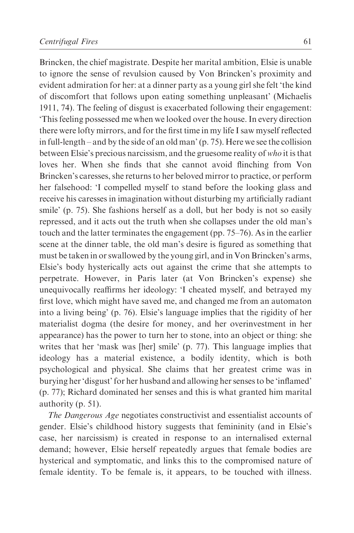Brincken, the chief magistrate. Despite her marital ambition, Elsie is unable to ignore the sense of revulsion caused by Von Brincken's proximity and evident admiration for her: at a dinner party as a young girl she felt 'the kind of discomfort that follows upon eating something unpleasant' (Michaelis 1911, 74). The feeling of disgust is exacerbated following their engagement: 'This feeling possessed me when we looked over the house. In every direction there were lofty mirrors, and for the first time in my life I saw myself reflected in full-length – and by the side of an old man' (p. 75). Here we see the collision between Elsie's precious narcissism, and the gruesome reality of who it is that loves her. When she finds that she cannot avoid flinching from Von Brincken's caresses, she returns to her beloved mirror to practice, or perform her falsehood: 'I compelled myself to stand before the looking glass and receive his caresses in imagination without disturbing my artificially radiant smile' (p. 75). She fashions herself as a doll, but her body is not so easily repressed, and it acts out the truth when she collapses under the old man's touch and the latter terminates the engagement (pp. 75–76). As in the earlier scene at the dinner table, the old man's desire is figured as something that must be taken in or swallowed by the young girl, and in Von Brincken's arms, Elsie's body hysterically acts out against the crime that she attempts to perpetrate. However, in Paris later (at Von Brincken's expense) she unequivocally reaffirms her ideology: 'I cheated myself, and betrayed my first love, which might have saved me, and changed me from an automaton into a living being' (p. 76). Elsie's language implies that the rigidity of her materialist dogma (the desire for money, and her overinvestment in her appearance) has the power to turn her to stone, into an object or thing: she writes that her 'mask was [her] smile' (p. 77). This language implies that ideology has a material existence, a bodily identity, which is both psychological and physical. She claims that her greatest crime was in burying her 'disgust' for her husband and allowing her senses to be 'inflamed' (p. 77); Richard dominated her senses and this is what granted him marital authority (p. 51).

The Dangerous Age negotiates constructivist and essentialist accounts of gender. Elsie's childhood history suggests that femininity (and in Elsie's case, her narcissism) is created in response to an internalised external demand; however, Elsie herself repeatedly argues that female bodies are hysterical and symptomatic, and links this to the compromised nature of female identity. To be female is, it appears, to be touched with illness.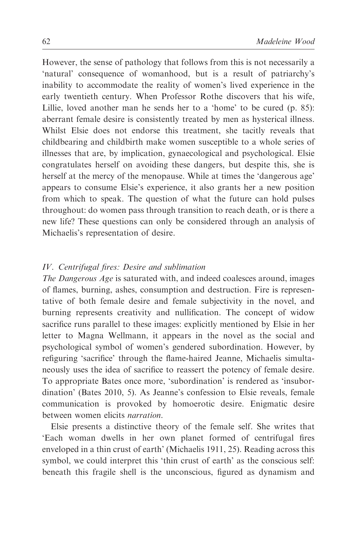However, the sense of pathology that follows from this is not necessarily a 'natural' consequence of womanhood, but is a result of patriarchy's inability to accommodate the reality of women's lived experience in the early twentieth century. When Professor Rothe discovers that his wife, Lillie, loved another man he sends her to a 'home' to be cured (p. 85): aberrant female desire is consistently treated by men as hysterical illness. Whilst Elsie does not endorse this treatment, she tacitly reveals that childbearing and childbirth make women susceptible to a whole series of illnesses that are, by implication, gynaecological and psychological. Elsie congratulates herself on avoiding these dangers, but despite this, she is herself at the mercy of the menopause. While at times the 'dangerous age' appears to consume Elsie's experience, it also grants her a new position from which to speak. The question of what the future can hold pulses throughout: do women pass through transition to reach death, or is there a new life? These questions can only be considered through an analysis of Michaelis's representation of desire.

### IV. Centrifugal fires: Desire and sublimation

The Dangerous Age is saturated with, and indeed coalesces around, images of flames, burning, ashes, consumption and destruction. Fire is representative of both female desire and female subjectivity in the novel, and burning represents creativity and nullification. The concept of widow sacrifice runs parallel to these images: explicitly mentioned by Elsie in her letter to Magna Wellmann, it appears in the novel as the social and psychological symbol of women's gendered subordination. However, by refiguring 'sacrifice' through the flame-haired Jeanne, Michaelis simultaneously uses the idea of sacrifice to reassert the potency of female desire. To appropriate Bates once more, 'subordination' is rendered as 'insubordination' (Bates 2010, 5). As Jeanne's confession to Elsie reveals, female communication is provoked by homoerotic desire. Enigmatic desire between women elicits narration.

Elsie presents a distinctive theory of the female self. She writes that 'Each woman dwells in her own planet formed of centrifugal fires enveloped in a thin crust of earth' (Michaelis 1911, 25). Reading across this symbol, we could interpret this 'thin crust of earth' as the conscious self: beneath this fragile shell is the unconscious, figured as dynamism and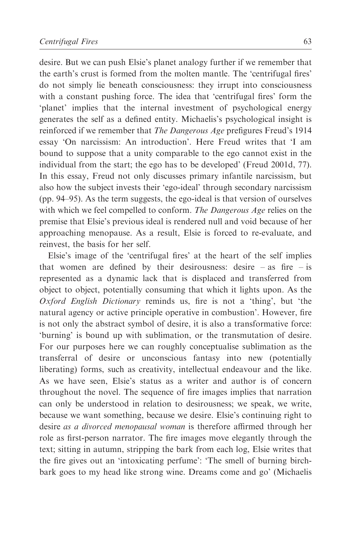desire. But we can push Elsie's planet analogy further if we remember that the earth's crust is formed from the molten mantle. The 'centrifugal fires' do not simply lie beneath consciousness: they irrupt into consciousness with a constant pushing force. The idea that 'centrifugal fires' form the 'planet' implies that the internal investment of psychological energy generates the self as a defined entity. Michaelis's psychological insight is reinforced if we remember that The Dangerous Age prefigures Freud's 1914 essay 'On narcissism: An introduction'. Here Freud writes that 'I am bound to suppose that a unity comparable to the ego cannot exist in the individual from the start; the ego has to be developed' (Freud 2001d, 77). In this essay, Freud not only discusses primary infantile narcissism, but also how the subject invests their 'ego-ideal' through secondary narcissism (pp. 94–95). As the term suggests, the ego-ideal is that version of ourselves with which we feel compelled to conform. The Dangerous Age relies on the premise that Elsie's previous ideal is rendered null and void because of her approaching menopause. As a result, Elsie is forced to re-evaluate, and reinvest, the basis for her self.

Elsie's image of the 'centrifugal fires' at the heart of the self implies that women are defined by their desirousness: desire  $-\text{ as }$  fire  $-\text{ is }$ represented as a dynamic lack that is displaced and transferred from object to object, potentially consuming that which it lights upon. As the Oxford English Dictionary reminds us, fire is not a 'thing', but 'the natural agency or active principle operative in combustion'. However, fire is not only the abstract symbol of desire, it is also a transformative force: 'burning' is bound up with sublimation, or the transmutation of desire. For our purposes here we can roughly conceptualise sublimation as the transferral of desire or unconscious fantasy into new (potentially liberating) forms, such as creativity, intellectual endeavour and the like. As we have seen, Elsie's status as a writer and author is of concern throughout the novel. The sequence of fire images implies that narration can only be understood in relation to desirousness; we speak, we write, because we want something, because we desire. Elsie's continuing right to desire as a divorced menopausal woman is therefore affirmed through her role as first-person narrator. The fire images move elegantly through the text; sitting in autumn, stripping the bark from each log, Elsie writes that the fire gives out an 'intoxicating perfume': 'The smell of burning birchbark goes to my head like strong wine. Dreams come and go' (Michaelis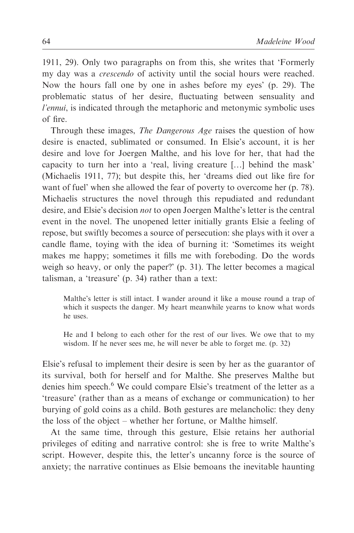1911, 29). Only two paragraphs on from this, she writes that 'Formerly my day was a crescendo of activity until the social hours were reached. Now the hours fall one by one in ashes before my eyes' (p. 29). The problematic status of her desire, fluctuating between sensuality and l'ennui, is indicated through the metaphoric and metonymic symbolic uses of fire.

Through these images, The Dangerous Age raises the question of how desire is enacted, sublimated or consumed. In Elsie's account, it is her desire and love for Joergen Malthe, and his love for her, that had the capacity to turn her into a 'real, living creature […] behind the mask' (Michaelis 1911, 77); but despite this, her 'dreams died out like fire for want of fuel' when she allowed the fear of poverty to overcome her (p. 78). Michaelis structures the novel through this repudiated and redundant desire, and Elsie's decision not to open Joergen Malthe's letter is the central event in the novel. The unopened letter initially grants Elsie a feeling of repose, but swiftly becomes a source of persecution: she plays with it over a candle flame, toying with the idea of burning it: 'Sometimes its weight makes me happy; sometimes it fills me with foreboding. Do the words weigh so heavy, or only the paper?' (p. 31). The letter becomes a magical talisman, a 'treasure' (p. 34) rather than a text:

Malthe's letter is still intact. I wander around it like a mouse round a trap of which it suspects the danger. My heart meanwhile yearns to know what words he uses.

He and I belong to each other for the rest of our lives. We owe that to my wisdom. If he never sees me, he will never be able to forget me. (p. 32)

Elsie's refusal to implement their desire is seen by her as the guarantor of its survival, both for herself and for Malthe. She preserves Malthe but denies him speech.<sup>6</sup> We could compare Elsie's treatment of the letter as a 'treasure' (rather than as a means of exchange or communication) to her burying of gold coins as a child. Both gestures are melancholic: they deny the loss of the object – whether her fortune, or Malthe himself.

At the same time, through this gesture, Elsie retains her authorial privileges of editing and narrative control: she is free to write Malthe's script. However, despite this, the letter's uncanny force is the source of anxiety; the narrative continues as Elsie bemoans the inevitable haunting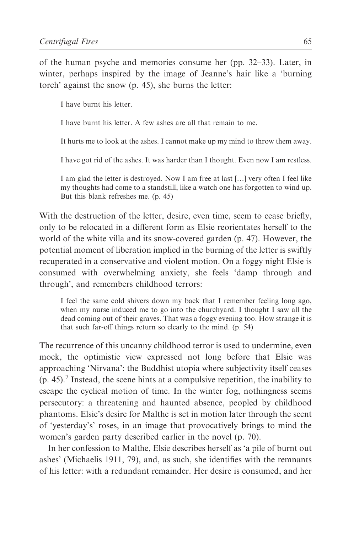of the human psyche and memories consume her (pp. 32–33). Later, in winter, perhaps inspired by the image of Jeanne's hair like a 'burning torch' against the snow (p. 45), she burns the letter:

I have burnt his letter.

I have burnt his letter. A few ashes are all that remain to me.

It hurts me to look at the ashes. I cannot make up my mind to throw them away.

I have got rid of the ashes. It was harder than I thought. Even now I am restless.

I am glad the letter is destroyed. Now I am free at last […] very often I feel like my thoughts had come to a standstill, like a watch one has forgotten to wind up. But this blank refreshes me. (p. 45)

With the destruction of the letter, desire, even time, seem to cease briefly, only to be relocated in a different form as Elsie reorientates herself to the world of the white villa and its snow-covered garden (p. 47). However, the potential moment of liberation implied in the burning of the letter is swiftly recuperated in a conservative and violent motion. On a foggy night Elsie is consumed with overwhelming anxiety, she feels 'damp through and through', and remembers childhood terrors:

I feel the same cold shivers down my back that I remember feeling long ago, when my nurse induced me to go into the churchyard. I thought I saw all the dead coming out of their graves. That was a foggy evening too. How strange it is that such far-off things return so clearly to the mind. (p. 54)

The recurrence of this uncanny childhood terror is used to undermine, even mock, the optimistic view expressed not long before that Elsie was approaching 'Nirvana': the Buddhist utopia where subjectivity itself ceases  $(p. 45)$ . Instead, the scene hints at a compulsive repetition, the inability to escape the cyclical motion of time. In the winter fog, nothingness seems persecutory: a threatening and haunted absence, peopled by childhood phantoms. Elsie's desire for Malthe is set in motion later through the scent of 'yesterday's' roses, in an image that provocatively brings to mind the women's garden party described earlier in the novel (p. 70).

In her confession to Malthe, Elsie describes herself as 'a pile of burnt out ashes' (Michaelis 1911, 79), and, as such, she identifies with the remnants of his letter: with a redundant remainder. Her desire is consumed, and her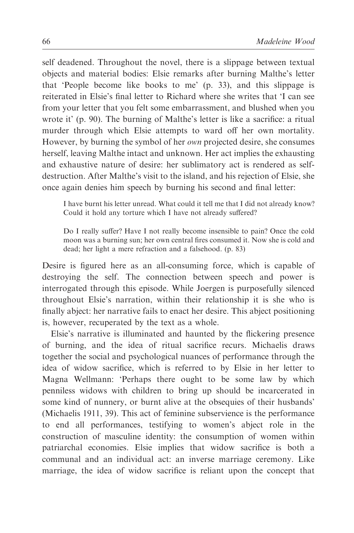self deadened. Throughout the novel, there is a slippage between textual objects and material bodies: Elsie remarks after burning Malthe's letter that 'People become like books to me' (p. 33), and this slippage is reiterated in Elsie's final letter to Richard where she writes that 'I can see from your letter that you felt some embarrassment, and blushed when you wrote it' (p. 90). The burning of Malthe's letter is like a sacrifice: a ritual murder through which Elsie attempts to ward off her own mortality. However, by burning the symbol of her *own* projected desire, she consumes herself, leaving Malthe intact and unknown. Her act implies the exhausting and exhaustive nature of desire: her sublimatory act is rendered as selfdestruction. After Malthe's visit to the island, and his rejection of Elsie, she once again denies him speech by burning his second and final letter:

I have burnt his letter unread. What could it tell me that I did not already know? Could it hold any torture which I have not already suffered?

Do I really suffer? Have I not really become insensible to pain? Once the cold moon was a burning sun; her own central fires consumed it. Now she is cold and dead; her light a mere refraction and a falsehood. (p. 83)

Desire is figured here as an all-consuming force, which is capable of destroying the self. The connection between speech and power is interrogated through this episode. While Joergen is purposefully silenced throughout Elsie's narration, within their relationship it is she who is finally abject: her narrative fails to enact her desire. This abject positioning is, however, recuperated by the text as a whole.

Elsie's narrative is illuminated and haunted by the flickering presence of burning, and the idea of ritual sacrifice recurs. Michaelis draws together the social and psychological nuances of performance through the idea of widow sacrifice, which is referred to by Elsie in her letter to Magna Wellmann: 'Perhaps there ought to be some law by which penniless widows with children to bring up should be incarcerated in some kind of nunnery, or burnt alive at the obsequies of their husbands' (Michaelis 1911, 39). This act of feminine subservience is the performance to end all performances, testifying to women's abject role in the construction of masculine identity: the consumption of women within patriarchal economies. Elsie implies that widow sacrifice is both a communal and an individual act: an inverse marriage ceremony. Like marriage, the idea of widow sacrifice is reliant upon the concept that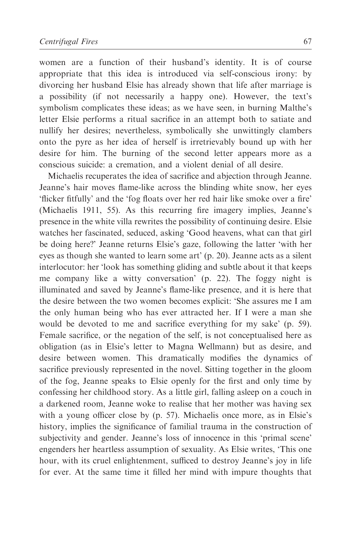women are a function of their husband's identity. It is of course appropriate that this idea is introduced via self-conscious irony: by divorcing her husband Elsie has already shown that life after marriage is a possibility (if not necessarily a happy one). However, the text's symbolism complicates these ideas; as we have seen, in burning Malthe's letter Elsie performs a ritual sacrifice in an attempt both to satiate and nullify her desires; nevertheless, symbolically she unwittingly clambers onto the pyre as her idea of herself is irretrievably bound up with her desire for him. The burning of the second letter appears more as a conscious suicide: a cremation, and a violent denial of all desire.

Michaelis recuperates the idea of sacrifice and abjection through Jeanne. Jeanne's hair moves flame-like across the blinding white snow, her eyes 'flicker fitfully' and the 'fog floats over her red hair like smoke over a fire' (Michaelis 1911, 55). As this recurring fire imagery implies, Jeanne's presence in the white villa rewrites the possibility of continuing desire. Elsie watches her fascinated, seduced, asking 'Good heavens, what can that girl be doing here?' Jeanne returns Elsie's gaze, following the latter 'with her eyes as though she wanted to learn some art' (p. 20). Jeanne acts as a silent interlocutor: her 'look has something gliding and subtle about it that keeps me company like a witty conversation' (p. 22). The foggy night is illuminated and saved by Jeanne's flame-like presence, and it is here that the desire between the two women becomes explicit: 'She assures me I am the only human being who has ever attracted her. If I were a man she would be devoted to me and sacrifice everything for my sake' (p. 59). Female sacrifice, or the negation of the self, is not conceptualised here as obligation (as in Elsie's letter to Magna Wellmann) but as desire, and desire between women. This dramatically modifies the dynamics of sacrifice previously represented in the novel. Sitting together in the gloom of the fog, Jeanne speaks to Elsie openly for the first and only time by confessing her childhood story. As a little girl, falling asleep on a couch in a darkened room, Jeanne woke to realise that her mother was having sex with a young officer close by (p. 57). Michaelis once more, as in Elsie's history, implies the significance of familial trauma in the construction of subjectivity and gender. Jeanne's loss of innocence in this 'primal scene' engenders her heartless assumption of sexuality. As Elsie writes, 'This one hour, with its cruel enlightenment, sufficed to destroy Jeanne's joy in life for ever. At the same time it filled her mind with impure thoughts that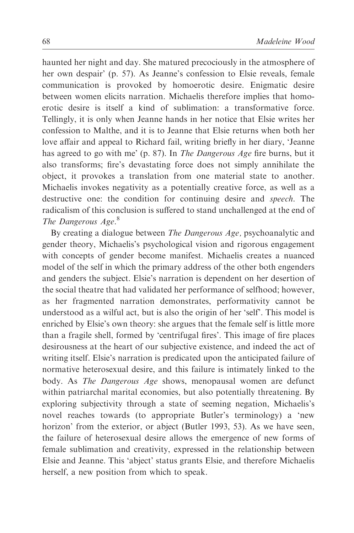haunted her night and day. She matured precociously in the atmosphere of her own despair' (p. 57). As Jeanne's confession to Elsie reveals, female communication is provoked by homoerotic desire. Enigmatic desire between women elicits narration. Michaelis therefore implies that homoerotic desire is itself a kind of sublimation: a transformative force. Tellingly, it is only when Jeanne hands in her notice that Elsie writes her confession to Malthe, and it is to Jeanne that Elsie returns when both her love affair and appeal to Richard fail, writing briefly in her diary, 'Jeanne has agreed to go with me' (p. 87). In The Dangerous Age fire burns, but it also transforms; fire's devastating force does not simply annihilate the object, it provokes a translation from one material state to another. Michaelis invokes negativity as a potentially creative force, as well as a destructive one: the condition for continuing desire and *speech*. The radicalism of this conclusion is suffered to stand unchallenged at the end of The Dangerous Age.<sup>8</sup>

By creating a dialogue between *The Dangerous Age*, psychoanalytic and gender theory, Michaelis's psychological vision and rigorous engagement with concepts of gender become manifest. Michaelis creates a nuanced model of the self in which the primary address of the other both engenders and genders the subject. Elsie's narration is dependent on her desertion of the social theatre that had validated her performance of selfhood; however, as her fragmented narration demonstrates, performativity cannot be understood as a wilful act, but is also the origin of her 'self'. This model is enriched by Elsie's own theory: she argues that the female self is little more than a fragile shell, formed by 'centrifugal fires'. This image of fire places desirousness at the heart of our subjective existence, and indeed the act of writing itself. Elsie's narration is predicated upon the anticipated failure of normative heterosexual desire, and this failure is intimately linked to the body. As The Dangerous Age shows, menopausal women are defunct within patriarchal marital economies, but also potentially threatening. By exploring subjectivity through a state of seeming negation, Michaelis's novel reaches towards (to appropriate Butler's terminology) a 'new horizon' from the exterior, or abject (Butler 1993, 53). As we have seen, the failure of heterosexual desire allows the emergence of new forms of female sublimation and creativity, expressed in the relationship between Elsie and Jeanne. This 'abject' status grants Elsie, and therefore Michaelis herself, a new position from which to speak.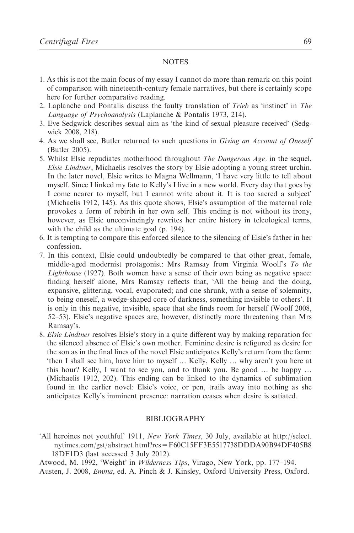#### NOTES

- 1. As this is not the main focus of my essay I cannot do more than remark on this point of comparison with nineteenth-century female narratives, but there is certainly scope here for further comparative reading.
- 2. Laplanche and Pontalis discuss the faulty translation of Trieb as 'instinct' in The Language of Psychoanalysis (Laplanche & Pontalis 1973, 214).
- 3. Eve Sedgwick describes sexual aim as 'the kind of sexual pleasure received' (Sedgwick 2008, 218).
- 4. As we shall see, Butler returned to such questions in Giving an Account of Oneself (Butler 2005).
- 5. Whilst Elsie repudiates motherhood throughout The Dangerous Age, in the sequel, Elsie Lindtner, Michaelis resolves the story by Elsie adopting a young street urchin. In the later novel, Elsie writes to Magna Wellmann, 'I have very little to tell about myself. Since I linked my fate to Kelly's I live in a new world. Every day that goes by I come nearer to myself, but I cannot write about it. It is too sacred a subject' (Michaelis 1912, 145). As this quote shows, Elsie's assumption of the maternal role provokes a form of rebirth in her own self. This ending is not without its irony, however, as Elsie unconvincingly rewrites her entire history in teleological terms, with the child as the ultimate goal (p. 194).
- 6. It is tempting to compare this enforced silence to the silencing of Elsie's father in her confession.
- 7. In this context, Elsie could undoubtedly be compared to that other great, female, middle-aged modernist protagonist: Mrs Ramsay from Virginia Woolf's To the Lighthouse (1927). Both women have a sense of their own being as negative space: finding herself alone, Mrs Ramsay reflects that, 'All the being and the doing, expansive, glittering, vocal, evaporated; and one shrunk, with a sense of solemnity, to being oneself, a wedge-shaped core of darkness, something invisible to others'. It is only in this negative, invisible, space that she finds room for herself (Woolf 2008, 52–53). Elsie's negative spaces are, however, distinctly more threatening than Mrs Ramsay's.
- 8. Elsie Lindtner resolves Elsie's story in a quite different way by making reparation for the silenced absence of Elsie's own mother. Feminine desire is refigured as desire for the son as in the final lines of the novel Elsie anticipates Kelly's return from the farm: 'then I shall see him, have him to myself … Kelly, Kelly … why aren't you here at this hour? Kelly, I want to see you, and to thank you. Be good … be happy … (Michaelis 1912, 202). This ending can be linked to the dynamics of sublimation found in the earlier novel: Elsie's voice, or pen, trails away into nothing as she anticipates Kelly's imminent presence: narration ceases when desire is satiated.

#### BIBLIOGRAPHY

'All heroines not youthful' 1911, New York Times, 30 July, available at http://select. nytimes.com/gst/abstract.html?res=F60C15FF3E5517738DDDA90B94DF405B8 18DF1D3 (last accessed 3 July 2012).

Atwood, M. 1992, 'Weight' in Wilderness Tips, Virago, New York, pp. 177–194.

Austen, J. 2008, Emma, ed. A. Pinch & J. Kinsley, Oxford University Press, Oxford.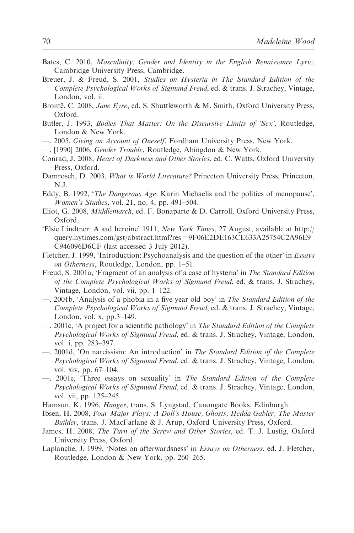- Bates, C. 2010, Masculinity, Gender and Identity in the English Renaissance Lyric, Cambridge University Press, Cambridge.
- Breuer, J. & Freud, S. 2001, Studies on Hysteria in The Standard Edition of the Complete Psychological Works of Sigmund Freud, ed. & trans. J. Strachey, Vintage, London, vol. ii.
- Brontë, C. 2008, Jane Eyre, ed. S. Shuttleworth & M. Smith, Oxford University Press, Oxford.
- Butler, J. 1993, Bodies That Matter: On the Discursive Limits of 'Sex', Routledge, London & New York.
- —. 2005, Giving an Account of Oneself, Fordham University Press, New York.
- —. [1990] 2006, Gender Trouble, Routledge, Abingdon & New York.
- Conrad, J. 2008, Heart of Darkness and Other Stories, ed. C. Watts, Oxford University Press, Oxford.
- Damrosch, D. 2003, What is World Literature? Princeton University Press, Princeton, N.J.
- Eddy, B. 1992, 'The Dangerous Age: Karin Michaelis and the politics of menopause', Women's Studies, vol. 21, no. 4, pp. 491–504.
- Eliot, G. 2008, Middlemarch, ed. F. Bonaparte & D. Carroll, Oxford University Press, Oxford.
- 'Elsie Lindtner: A sad heroine' 1911, New York Times, 27 August, available at http:// query.nytimes.com/gst/abstract.html?res=9F06E2DE163CE633A25754C2A96E9 C946096D6CF (last accessed 3 July 2012).
- Fletcher, J. 1999, 'Introduction: Psychoanalysis and the question of the other' in Essays on Otherness, Routledge, London, pp. 1–51.
- Freud, S. 2001a, 'Fragment of an analysis of a case of hysteria' in The Standard Edition of the Complete Psychological Works of Sigmund Freud, ed. & trans. J. Strachey, Vintage, London, vol. vii, pp. 1–122.
- —. 2001b, 'Analysis of a phobia in a five year old boy' in The Standard Edition of the Complete Psychological Works of Sigmund Freud, ed. & trans. J. Strachey, Vintage, London, vol. x, pp.3–149.
- —. 2001c, 'A project for a scientific pathology' in The Standard Edition of the Complete Psychological Works of Sigmund Freud, ed. & trans. J. Strachey, Vintage, London, vol. i, pp. 283–397.
- —. 2001d, 'On narcissism: An introduction' in The Standard Edition of the Complete Psychological Works of Sigmund Freud, ed. & trans. J. Strachey, Vintage, London, vol. xiv, pp. 67–104.
- —. 2001e, 'Three essays on sexuality' in The Standard Edition of the Complete Psychological Works of Sigmund Freud, ed. & trans. J. Strachey, Vintage, London, vol. vii, pp. 125–245.
- Hamsun, K. 1996, Hunger, trans. S. Lyngstad, Canongate Books, Edinburgh.
- Ibsen, H. 2008, Four Major Plays: A Doll's House, Ghosts, Hedda Gabler, The Master Builder, trans. J. MacFarlane & J. Arup, Oxford University Press, Oxford.
- James, H. 2008, The Turn of the Screw and Other Stories, ed. T. J. Lustig, Oxford University Press, Oxford.
- Laplanche, J. 1999, 'Notes on afterwardsness' in Essays on Otherness, ed. J. Fletcher, Routledge, London & New York, pp. 260–265.